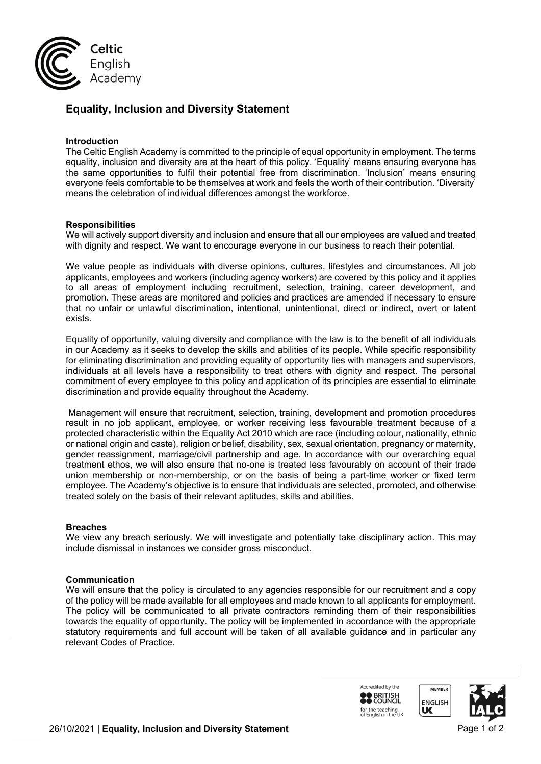

# **Equality, Inclusion and Diversity Statement**

## **Introduction**

The Celtic English Academy is committed to the principle of equal opportunity in employment. The terms equality, inclusion and diversity are at the heart of this policy. 'Equality' means ensuring everyone has the same opportunities to fulfil their potential free from discrimination. 'Inclusion' means ensuring everyone feels comfortable to be themselves at work and feels the worth of their contribution. 'Diversity' means the celebration of individual differences amongst the workforce.

#### **Responsibilities**

We will actively support diversity and inclusion and ensure that all our employees are valued and treated with dignity and respect. We want to encourage everyone in our business to reach their potential.

We value people as individuals with diverse opinions, cultures, lifestyles and circumstances. All job applicants, employees and workers (including agency workers) are covered by this policy and it applies to all areas of employment including recruitment, selection, training, career development, and promotion. These areas are monitored and policies and practices are amended if necessary to ensure that no unfair or unlawful discrimination, intentional, unintentional, direct or indirect, overt or latent exists.

Equality of opportunity, valuing diversity and compliance with the law is to the benefit of all individuals in our Academy as it seeks to develop the skills and abilities of its people. While specific responsibility for eliminating discrimination and providing equality of opportunity lies with managers and supervisors, individuals at all levels have a responsibility to treat others with dignity and respect. The personal commitment of every employee to this policy and application of its principles are essential to eliminate discrimination and provide equality throughout the Academy.

Management will ensure that recruitment, selection, training, development and promotion procedures result in no job applicant, employee, or worker receiving less favourable treatment because of a protected characteristic within the Equality Act 2010 which are race (including colour, nationality, ethnic or national origin and caste), religion or belief, disability, sex, sexual orientation, pregnancy or maternity, gender reassignment, marriage/civil partnership and age. In accordance with our overarching equal treatment ethos, we will also ensure that no-one is treated less favourably on account of their trade union membership or non-membership, or on the basis of being a part-time worker or fixed term employee. The Academy's objective is to ensure that individuals are selected, promoted, and otherwise treated solely on the basis of their relevant aptitudes, skills and abilities.

#### **Breaches**

We view any breach seriously. We will investigate and potentially take disciplinary action. This may include dismissal in instances we consider gross misconduct.

#### **Communication**

We will ensure that the policy is circulated to any agencies responsible for our recruitment and a copy of the policy will be made available for all employees and made known to all applicants for employment. The policy will be communicated to all private contractors reminding them of their responsibilities towards the equality of opportunity. The policy will be implemented in accordance with the appropriate statutory requirements and full account will be taken of all available guidance and in particular any relevant Codes of Practice.